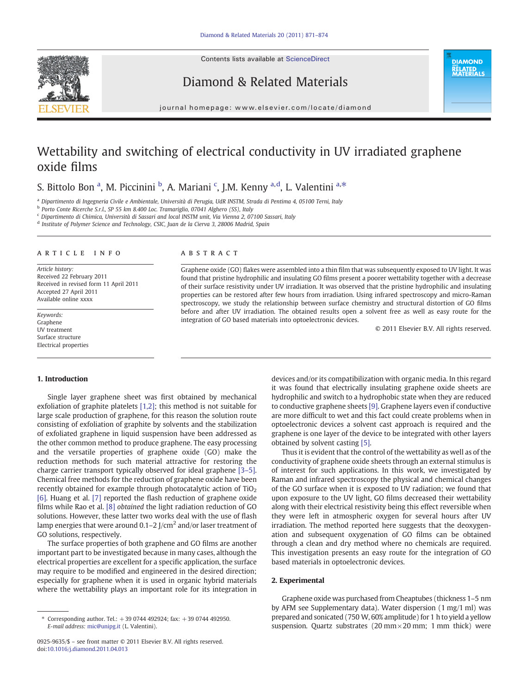Contents lists available at [ScienceDirect](http://www.sciencedirect.com/science/journal/09259635)



Diamond & Related Materials

**DIAMOND** RËLATED<br>MATERIALS

#### journal homepage: www.elsevier.com/locate/diamond

# Wettability and switching of electrical conductivity in UV irradiated graphene oxide films

## S. Bittolo Bon <sup>a</sup>, M. Piccinini <sup>b</sup>, A. Mariani <sup>c</sup>, J.M. Kenny <sup>a,d</sup>, L. Valentini <sup>a,\*</sup>

<sup>a</sup> Dipartimento di Ingegneria Civile e Ambientale, Università di Perugia, UdR INSTM, Strada di Pentima 4, 05100 Terni, Italy

b Porto Conte Ricerche S.r.l., SP 55 km 8.400 Loc. Tramariglio, 07041 Alghero (SS), Italy

<sup>c</sup> Dipartimento di Chimica, Università di Sassari and local INSTM unit, Via Vienna 2, 07100 Sassari, Italy

<sup>d</sup> Institute of Polymer Science and Technology, CSIC, Juan de la Cierva 3, 28006 Madrid, Spain

#### article info abstract

Article history: Received 22 February 2011 Received in revised form 11 April 2011 Accepted 27 April 2011 Available online xxxx

Keywords: Graphene UV treatment Surface structure Electrical properties

Graphene oxide (GO) flakes were assembled into a thin film that was subsequently exposed to UV light. It was found that pristine hydrophilic and insulating GO films present a poorer wettability together with a decrease of their surface resistivity under UV irradiation. It was observed that the pristine hydrophilic and insulating properties can be restored after few hours from irradiation. Using infrared spectroscopy and micro-Raman spectroscopy, we study the relationship between surface chemistry and structural distortion of GO films before and after UV irradiation. The obtained results open a solvent free as well as easy route for the integration of GO based materials into optoelectronic devices.

© 2011 Elsevier B.V. All rights reserved.

### 1. Introduction

Single layer graphene sheet was first obtained by mechanical exfoliation of graphite platelets [\[1,2\];](#page-3-0) this method is not suitable for large scale production of graphene, for this reason the solution route consisting of exfoliation of graphite by solvents and the stabilization of exfoliated graphene in liquid suspension have been addressed as the other common method to produce graphene. The easy processing and the versatile properties of graphene oxide (GO) make the reduction methods for such material attractive for restoring the charge carrier transport typically observed for ideal graphene [3–[5\].](#page-3-0) Chemical free methods for the reduction of graphene oxide have been recently obtained for example through photocatalytic action of  $TiO<sub>2</sub>$ [\[6\].](#page-3-0) Huang et al. [\[7\]](#page-3-0) reported the flash reduction of graphene oxide films while Rao et al. [\[8\]](#page-3-0) obtained the light radiation reduction of GO solutions. However, these latter two works deal with the use of flash lamp energies that were around  $0.1-2$  J/cm<sup>2</sup> and/or laser treatment of GO solutions, respectively.

The surface properties of both graphene and GO films are another important part to be investigated because in many cases, although the electrical properties are excellent for a specific application, the surface may require to be modified and engineered in the desired direction; especially for graphene when it is used in organic hybrid materials where the wettability plays an important role for its integration in

devices and/or its compatibilization with organic media. In this regard it was found that electrically insulating graphene oxide sheets are hydrophilic and switch to a hydrophobic state when they are reduced to conductive graphene sheets [\[9\].](#page-3-0) Graphene layers even if conductive are more difficult to wet and this fact could create problems when in optoelectronic devices a solvent cast approach is required and the graphene is one layer of the device to be integrated with other layers obtained by solvent casting [\[5\]](#page-3-0).

Thus it is evident that the control of the wettability as well as of the conductivity of graphene oxide sheets through an external stimulus is of interest for such applications. In this work, we investigated by Raman and infrared spectroscopy the physical and chemical changes of the GO surface when it is exposed to UV radiation; we found that upon exposure to the UV light, GO films decreased their wettability along with their electrical resistivity being this effect reversible when they were left in atmospheric oxygen for several hours after UV irradiation. The method reported here suggests that the deoxygenation and subsequent oxygenation of GO films can be obtained through a clean and dry method where no chemicals are required. This investigation presents an easy route for the integration of GO based materials in optoelectronic devices.

#### 2. Experimental

Graphene oxide was purchased from Cheaptubes (thickness 1–5 nm by AFM see Supplementary data). Water dispersion (1 mg/1 ml) was prepared and sonicated (750 W, 60% amplitude) for 1 h to yield a yellow suspension. Quartz substrates (20 mm × 20 mm; 1 mm thick) were

<sup>⁎</sup> Corresponding author. Tel.: +39 0744 492924; fax: +39 0744 492950. E-mail address: [mic@unipg.it](mailto:mic@unipg.it) (L. Valentini).

<sup>0925-9635/\$</sup> – see front matter © 2011 Elsevier B.V. All rights reserved. doi:[10.1016/j.diamond.2011.04.013](http://dx.doi.org/10.1016/j.diamond.2011.04.013)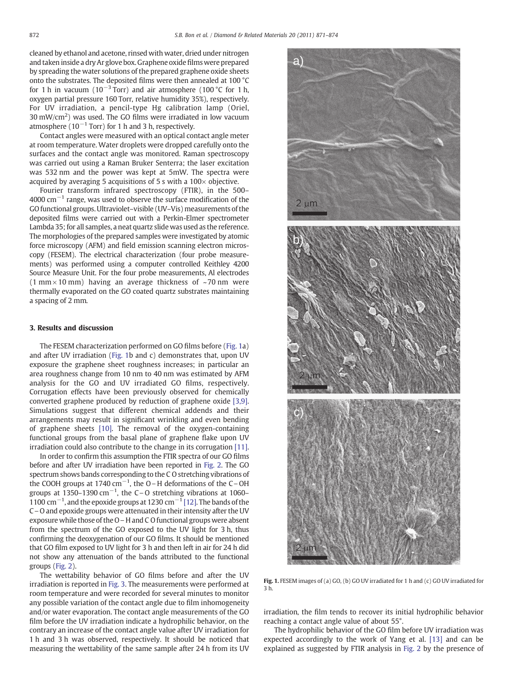<span id="page-1-0"></span>cleaned by ethanol and acetone, rinsed with water, dried under nitrogen and taken inside a dry Ar glove box. Graphene oxide films were prepared by spreading the water solutions of the prepared graphene oxide sheets onto the substrates. The deposited films were then annealed at 100 °C for 1 h in vacuum ( $10^{-3}$  Torr) and air atmosphere (100 °C for 1 h, oxygen partial pressure 160 Torr, relative humidity 35%), respectively. For UV irradiation, a pencil-type Hg calibration lamp (Oriel, 30 mW/cm<sup>2</sup>) was used. The GO films were irradiated in low vacuum atmosphere ( $10^{-1}$  Torr) for 1 h and 3 h, respectively.

Contact angles were measured with an optical contact angle meter at room temperature. Water droplets were dropped carefully onto the surfaces and the contact angle was monitored. Raman spectroscopy was carried out using a Raman Bruker Senterra; the laser excitation was 532 nm and the power was kept at 5mW. The spectra were acquired by averaging 5 acquisitions of 5 s with a  $100 \times$  objective.

Fourier transform infrared spectroscopy (FTIR), in the 500– 4000 cm<sup> $-1$ </sup> range, was used to observe the surface modification of the GO functional groups. Ultraviolet–visible (UV–Vis)measurements of the deposited films were carried out with a Perkin-Elmer spectrometer Lambda 35; for all samples, a neat quartz slide was used as the reference. The morphologies of the prepared samples were investigated by atomic force microscopy (AFM) and field emission scanning electron microscopy (FESEM). The electrical characterization (four probe measurements) was performed using a computer controlled Keithley 4200 Source Measure Unit. For the four probe measurements, Al electrodes  $(1 \text{ mm} \times 10 \text{ mm})$  having an average thickness of ~70 nm were thermally evaporated on the GO coated quartz substrates maintaining a spacing of 2 mm.

#### 3. Results and discussion

The FESEM characterization performed on GO films before (Fig. 1a) and after UV irradiation (Fig. 1b and c) demonstrates that, upon UV exposure the graphene sheet roughness increases; in particular an area roughness change from 10 nm to 40 nm was estimated by AFM analysis for the GO and UV irradiated GO films, respectively. Corrugation effects have been previously observed for chemically converted graphene produced by reduction of graphene oxide [\[3,9\].](#page-3-0) Simulations suggest that different chemical addends and their arrangements may result in significant wrinkling and even bending of graphene sheets [\[10\].](#page-3-0) The removal of the oxygen-containing functional groups from the basal plane of graphene flake upon UV irradiation could also contribute to the change in its corrugation [\[11\].](#page-3-0)

In order to confirm this assumption the FTIR spectra of our GO films before and after UV irradiation have been reported in [Fig. 2.](#page-2-0) The GO spectrum shows bands corresponding to the C O stretching vibrations of the COOH groups at 1740 cm<sup>-1</sup>, the O-H deformations of the C-OH groups at 1350–1390 cm<sup>-1</sup>, the C-O stretching vibrations at 1060– 1100 cm−<sup>1</sup> , and the epoxide groups at 1230 cm−<sup>1</sup> [\[12\]](#page-3-0). The bands of the  $C - O$  and epoxide groups were attenuated in their intensity after the UV exposure while those of the  $O-H$  and C O functional groups were absent from the spectrum of the GO exposed to the UV light for 3 h, thus confirming the deoxygenation of our GO films. It should be mentioned that GO film exposed to UV light for 3 h and then left in air for 24 h did not show any attenuation of the bands attributed to the functional groups ([Fig. 2](#page-2-0)).

The wettability behavior of GO films before and after the UV irradiation is reported in [Fig. 3.](#page-2-0) The measurements were performed at room temperature and were recorded for several minutes to monitor any possible variation of the contact angle due to film inhomogeneity and/or water evaporation. The contact angle measurements of the GO film before the UV irradiation indicate a hydrophilic behavior, on the contrary an increase of the contact angle value after UV irradiation for 1 h and 3 h was observed, respectively. It should be noticed that measuring the wettability of the same sample after 24 h from its UV



Fig. 1. FESEM images of (a) GO, (b) GO UV irradiated for 1 h and (c) GO UV irradiated for 3 h.

irradiation, the film tends to recover its initial hydrophilic behavior reaching a contact angle value of about 55°.

The hydrophilic behavior of the GO film before UV irradiation was expected accordingly to the work of Yang et al. [\[13\]](#page-3-0) and can be explained as suggested by FTIR analysis in [Fig. 2](#page-2-0) by the presence of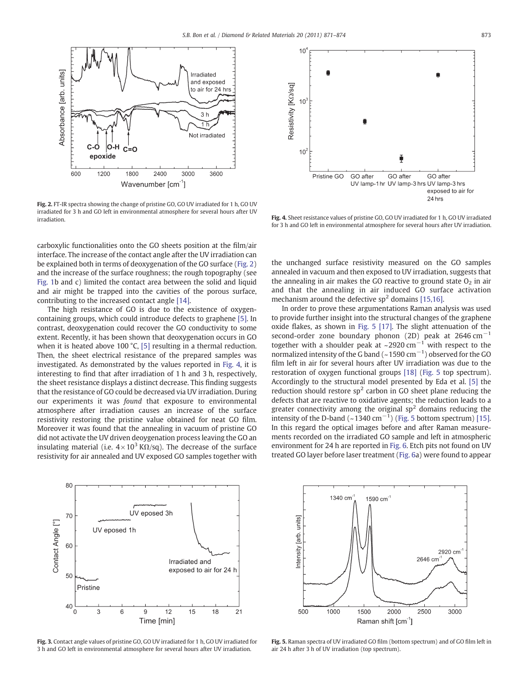<span id="page-2-0"></span>

Fig. 2. FT-IR spectra showing the change of pristine GO, GO UV irradiated for 1 h, GO UV irradiated for 3 h and GO left in environmental atmosphere for several hours after UV irradiation.

carboxylic functionalities onto the GO sheets position at the film/air interface. The increase of the contact angle after the UV irradiation can be explained both in terms of deoxygenation of the GO surface (Fig. 2) and the increase of the surface roughness; the rough topography (see [Fig. 1](#page-1-0)b and c) limited the contact area between the solid and liquid and air might be trapped into the cavities of the porous surface, contributing to the increased contact angle [\[14\].](#page-3-0)

The high resistance of GO is due to the existence of oxygencontaining groups, which could introduce defects to graphene [\[5\]](#page-3-0). In contrast, deoxygenation could recover the GO conductivity to some extent. Recently, it has been shown that deoxygenation occurs in GO when it is heated above 100 °C, [\[5\]](#page-3-0) resulting in a thermal reduction. Then, the sheet electrical resistance of the prepared samples was investigated. As demonstrated by the values reported in Fig. 4, it is interesting to find that after irradiation of 1 h and 3 h, respectively, the sheet resistance displays a distinct decrease. This finding suggests that the resistance of GO could be decreased via UV irradiation. During our experiments it was found that exposure to environmental atmosphere after irradiation causes an increase of the surface resistivity restoring the pristine value obtained for neat GO film. Moreover it was found that the annealing in vacuum of pristine GO did not activate the UV driven deoygenation process leaving the GO an insulating material (i.e.  $4 \times 10^3$  K $\Omega$ /sq). The decrease of the surface resistivity for air annealed and UV exposed GO samples together with



Fig. 3. Contact angle values of pristine GO, GO UV irradiated for 1 h, GO UV irradiated for 3 h and GO left in environmental atmosphere for several hours after UV irradiation.



Fig. 4. Sheet resistance values of pristine GO, GO UV irradiated for 1 h, GO UV irradiated for 3 h and GO left in environmental atmosphere for several hours after UV irradiation.

the unchanged surface resistivity measured on the GO samples annealed in vacuum and then exposed to UV irradiation, suggests that the annealing in air makes the GO reactive to ground state  $O<sub>2</sub>$  in air and that the annealing in air induced GO surface activation mechanism around the defective  $sp^2$  domains [\[15,16\]](#page-3-0).

In order to prove these argumentations Raman analysis was used to provide further insight into the structural changes of the graphene oxide flakes, as shown in Fig. 5 [\[17\]](#page-3-0). The slight attenuation of the second-order zone boundary phonon (2D) peak at 2646 cm<sup>-1</sup> together with a shoulder peak at ~2920 cm<sup>-1</sup> with respect to the normalized intensity of the G band (~1590 cm<sup>-1</sup>) observed for the GO film left in air for several hours after UV irradiation was due to the restoration of oxygen functional groups [\[18\]](#page-3-0) (Fig. 5 top spectrum). Accordingly to the structural model presented by Eda et al. [\[5\]](#page-3-0) the reduction should restore  $sp<sup>2</sup>$  carbon in GO sheet plane reducing the defects that are reactive to oxidative agents; the reduction leads to a greater connectivity among the original  $sp<sup>2</sup>$  domains reducing the intensity of the D-band (~1340 cm<sup>-1</sup>) (Fig. 5 bottom spectrum) [\[15\].](#page-3-0) In this regard the optical images before and after Raman measurements recorded on the irradiated GO sample and left in atmospheric environment for 24 h are reported in [Fig. 6.](#page-3-0) Etch pits not found on UV treated GO layer before laser treatment [\(Fig. 6](#page-3-0)a) were found to appear



Fig. 5. Raman spectra of UV irradiated GO film (bottom spectrum) and of GO film left in air 24 h after 3 h of UV irradiation (top spectrum).